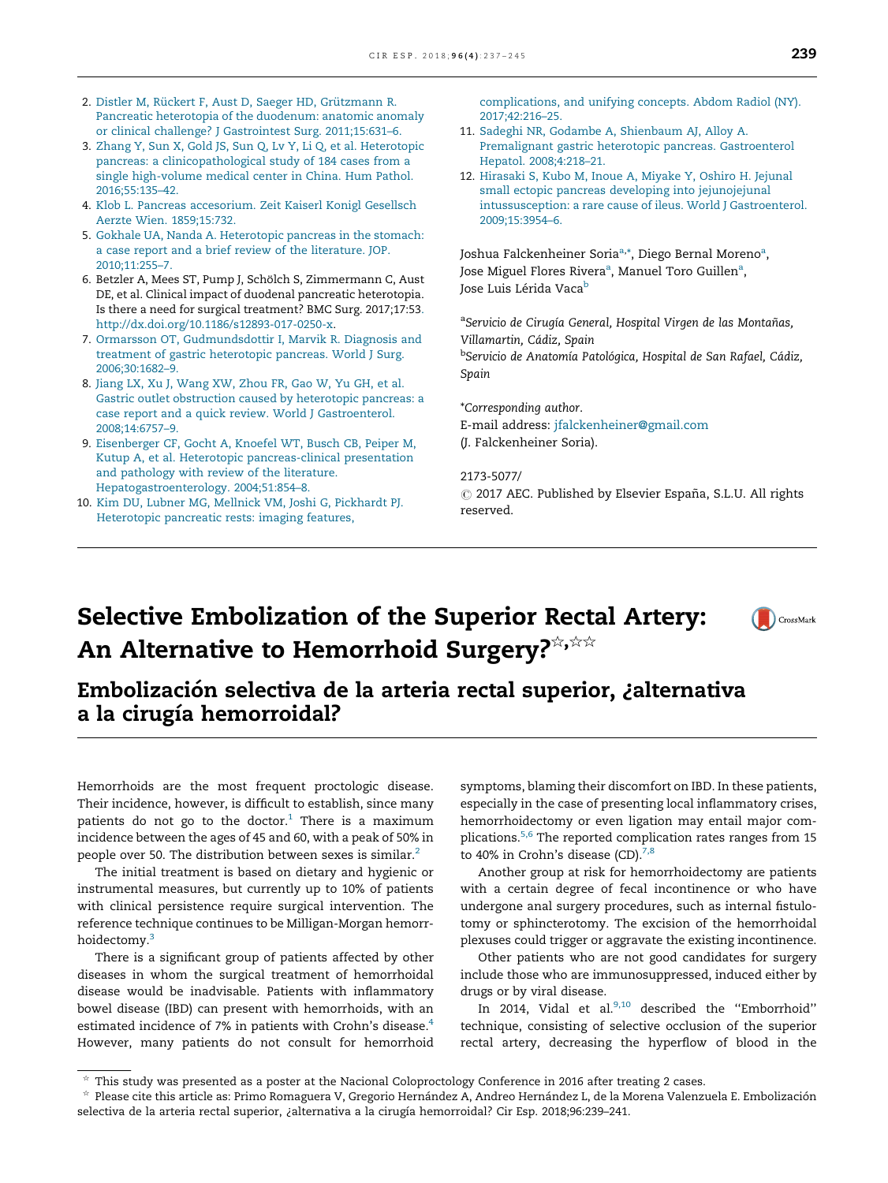- 2. Distler M, Rückert F, Aust D, Saeger HD, Grützmann R. Pancreatic [heterotopia](http://refhub.elsevier.com/S2173-5077(18)30070-X/sbref0070) of the duodenum: anatomic anomaly or clinical challenge? J Gastrointest Surg. [2011;15:631–6.](http://refhub.elsevier.com/S2173-5077(18)30070-X/sbref0070)
- 3. Zhang Y, Sun X, Gold JS, Sun Q, Lv Y, Li Q, et al. [Heterotopic](http://refhub.elsevier.com/S2173-5077(18)30070-X/sbref0075) pancreas: a [clinicopathological](http://refhub.elsevier.com/S2173-5077(18)30070-X/sbref0075) study of 184 cases from a single [high-volume](http://refhub.elsevier.com/S2173-5077(18)30070-X/sbref0075) medical center in China. Hum Pathol. [2016;55:135–42.](http://refhub.elsevier.com/S2173-5077(18)30070-X/sbref0075)
- 4. Klob L. Pancreas [accesorium.](http://refhub.elsevier.com/S2173-5077(18)30070-X/sbref0080) Zeit Kaiserl Konigl Gesellsch Aerzte Wien. [1859;15:732](http://refhub.elsevier.com/S2173-5077(18)30070-X/sbref0080).
- 5. Gokhale UA, Nanda A. [Heterotopic](http://refhub.elsevier.com/S2173-5077(18)30070-X/sbref0085) pancreas in the stomach: a case report and a brief review of the [literature.](http://refhub.elsevier.com/S2173-5077(18)30070-X/sbref0085) JOP. [2010;11:255–7.](http://refhub.elsevier.com/S2173-5077(18)30070-X/sbref0085)
- 6. Betzler A, Mees ST, Pump J, Schölch S, Zimmermann C, Aust DE, et al. Clinical impact of duodenal pancreatic heterotopia. Is there a need for surgical treatment? BMC Surg. 2017;17:53[.](http://dx.doi.org/10.1186/s12893-017-0250-x) [http://dx.doi.org/10.1186/s12893-017-0250-x.](http://dx.doi.org/10.1186/s12893-017-0250-x)
- 7. Ormarsson OT, [Gudmundsdottir](http://refhub.elsevier.com/S2173-5077(18)30070-X/sbref0095) I, Marvik R. Diagnosis and treatment of gastric [heterotopic](http://refhub.elsevier.com/S2173-5077(18)30070-X/sbref0095) pancreas. World J Surg. [2006;30:1682–9.](http://refhub.elsevier.com/S2173-5077(18)30070-X/sbref0095)
- 8. Jiang LX, Xu J, [Wang](http://refhub.elsevier.com/S2173-5077(18)30070-X/sbref0100) XW, Zhou FR, Gao W, Yu GH, et al. Gastric outlet [obstruction](http://refhub.elsevier.com/S2173-5077(18)30070-X/sbref0100) caused by heterotopic pancreas: a case report and a quick review. World J [Gastroenterol.](http://refhub.elsevier.com/S2173-5077(18)30070-X/sbref0100) [2008;14:6757–9.](http://refhub.elsevier.com/S2173-5077(18)30070-X/sbref0100)
- 9. [Eisenberger](http://refhub.elsevier.com/S2173-5077(18)30070-X/sbref0105) CF, Gocht A, Knoefel WT, Busch CB, Peiper M, Kutup A, et al. Heterotopic [pancreas-clinical](http://refhub.elsevier.com/S2173-5077(18)30070-X/sbref0105) presentation and [pathology](http://refhub.elsevier.com/S2173-5077(18)30070-X/sbref0105) with review of the literature. [Hepatogastroenterology.](http://refhub.elsevier.com/S2173-5077(18)30070-X/sbref0105) 2004;51:854–8.
- 10. Kim DU, Lubner MG, Mellnick VM, Joshi G, [Pickhardt](http://refhub.elsevier.com/S2173-5077(18)30070-X/sbref0110) PJ. [Heterotopic](http://refhub.elsevier.com/S2173-5077(18)30070-X/sbref0110) pancreatic rests: imaging features,

[complications,](http://refhub.elsevier.com/S2173-5077(18)30070-X/sbref0110) and unifying concepts. Abdom Radiol (NY). [2017;42:216–25](http://refhub.elsevier.com/S2173-5077(18)30070-X/sbref0110).

- 11. Sadeghi NR, Godambe A, [Shienbaum](http://refhub.elsevier.com/S2173-5077(18)30070-X/sbref0115) AJ, Alloy A. Premalignant gastric heterotopic pancreas. [Gastroenterol](http://refhub.elsevier.com/S2173-5077(18)30070-X/sbref0115) Hepatol. [2008;4:218–21](http://refhub.elsevier.com/S2173-5077(18)30070-X/sbref0115).
- 12. [Hirasaki](http://refhub.elsevier.com/S2173-5077(18)30070-X/sbref0120) S, Kubo M, Inoue A, Miyake Y, Oshiro H. Jejunal [small](http://www.elsevier.es/cirugia) ectopic pancreas developing into [jejunojejunal](http://refhub.elsevier.com/S2173-5077(18)30070-X/sbref0120) [intussusception:](http://refhub.elsevier.com/S2173-5077(18)30070-X/sbref0120) a rare cause of ileus. World J Gastroenterol. [2009;15:3954–6](http://refhub.elsevier.com/S2173-5077(18)30070-X/sbref0120).

Joshua Falckenheiner Soria<sup>a,</sup>\*, Diego Bernal Moreno<sup>a</sup>, Jose Miguel Flores Rivera<sup>a</sup>, Manuel Toro Guillen<sup>a</sup>, Jose Luis Lérida Vaca<sup>b</sup>

<sup>a</sup>Servicio de Cirugía General, Hospital Virgen de las Montañas, Villamartin, Cádiz, Spain <sup>b</sup>Servicio de Anatomía Patológica, Hospital de San Rafael, Cádiz, Spain

\*Corresponding author. E-mail address: [jfalckenheiner@gmail.com](mailto:jfalckenheiner@gmail.com) (J. Falckenheiner Soria).

2173-5077/  $\odot$  2017 AEC. Published by Elsevier España, S.L.U. All rights reserved.

# Selective Embolization of the Superior Rectal Artery: An Alternative to Hemorrhoid Surgery?



### Embolización selectiva de la arteria rectal superior, ¿alternativa a la cirugía hemorroidal?

Hemorrhoids are the most frequent proctologic disease. Their incidence, however, is difficult to establish, since many patients do not go to the doctor. $1$  There is a maximum incidence between the ages of 45 and 60, with a peak of 50% in people over 50. The distribution between sexes is similar.<sup>[2](#page-2-0)</sup>

The initial treatment is based on dietary and hygienic or instrumental measures, but currently up to 10% of patients with clinical persistence require surgical intervention. The reference technique continues to be Milligan-Morgan hemorr-hoidectomy.<sup>[3](#page-2-0)</sup>

There is a significant group of patients affected by other diseases in whom the surgical treatment of hemorrhoidal disease would be inadvisable. Patients with inflammatory bowel disease (IBD) can present with hemorrhoids, with an estimated incidence of 7% in patients with Crohn's disease.<sup>[4](#page-2-0)</sup> However, many patients do not consult for hemorrhoid symptoms, blaming their discomfort on IBD. In these patients, especially in the case of presenting local inflammatory crises, hemorrhoidectomy or even ligation may entail major com-plications.<sup>[5,6](#page-2-0)</sup> The reported complication rates ranges from 15 to 40% in Crohn's disease (CD). $^{7,8}$  $^{7,8}$  $^{7,8}$ 

Another group at risk for hemorrhoidectomy are patients with a certain degree of fecal incontinence or who have undergone anal surgery procedures, such as internal fistulotomy or sphincterotomy. The excision of the hemorrhoidal plexuses could trigger or aggravate the existing incontinence.

Other patients who are not good candidates for surgery include those who are immunosuppressed, induced either by drugs or by viral disease.

In 2014, Vidal et al.<sup>[9,10](#page-2-0)</sup> described the "Emborrhoid" technique, consisting of selective occlusion of the superior rectal artery, decreasing the hyperflow of blood in the

 $\hat{\tau}$  This study was presented as a poster at the Nacional Coloproctology [Conference](http://refhub.elsevier.com/S2173-5077(18)30070-X/sbref0065) in 2016 after treating 2 cases.<br> $\hat{\tau}$  Place attaching the conference Prima Papea name M. Concerting Line (a declared the Lack Line o

Please cite this article as: Primo Romaguera V, Gregorio Hernández A, Andreo Hernández L, de la Morena Valenzuela E. Embolización selectiva de la arteria rectal superior, ¿alternativa a la cirugía hemorroidal? Cir Esp. [2018;96:239–241.](http://refhub.elsevier.com/S2173-5077(18)30070-X/sbref0065)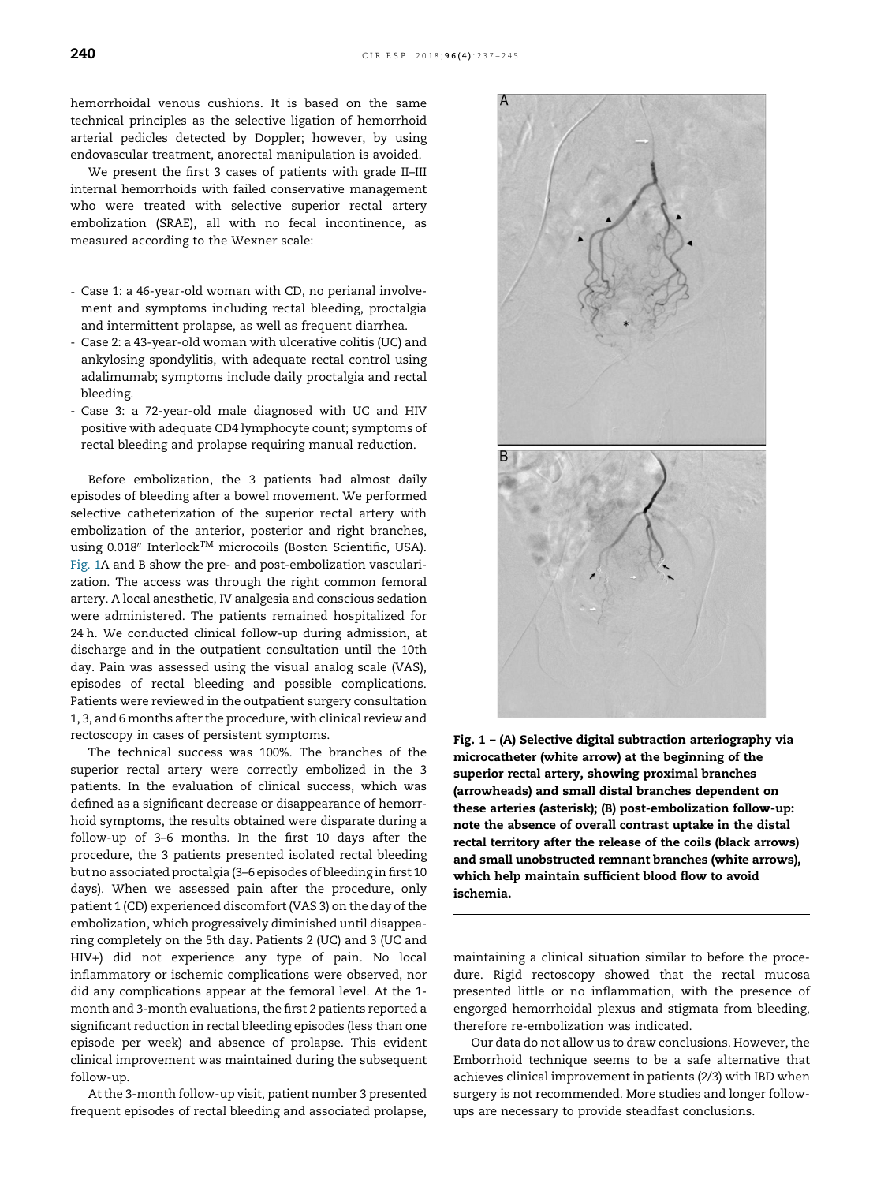hemorrhoidal venous cushions. It is based on the same technical principles as the selective ligation of hemorrhoid arterial pedicles detected by Doppler; however, by using endovascular treatment, anorectal manipulation is avoided.

We present the first 3 cases of patients with grade II–III internal hemorrhoids with failed conservative management who were treated with selective superior rectal artery embolization (SRAE), all with no fecal incontinence, as measured according to the Wexner scale:

- Case 1: a 46-year-old woman with CD, no perianal involvement and symptoms including rectal bleeding, proctalgia and intermittent prolapse, as well as frequent diarrhea.
- Case 2: a 43-year-old woman with ulcerative colitis (UC) and ankylosing spondylitis, with adequate rectal control using adalimumab; symptoms include daily proctalgia and rectal bleeding.
- Case 3: a 72-year-old male diagnosed with UC and HIV positive with adequate CD4 lymphocyte count; symptoms of rectal bleeding and prolapse requiring manual reduction.

Before embolization, the 3 patients had almost daily episodes of bleeding after a bowel movement. We performed selective catheterization of the superior rectal artery with embolization of the anterior, posterior and right branches, using 0.018" Interlock<sup>TM</sup> microcoils (Boston Scientific, USA). Fig. 1A and B show the pre- and post-embolization vascularization. The access was through the right common femoral artery. A local anesthetic, IV analgesia and conscious sedation were administered. The patients remained hospitalized for 24 h. We conducted clinical follow-up during admission, at discharge and in the outpatient consultation until the 10th day. Pain was assessed using the visual analog scale (VAS), episodes of rectal bleeding and possible complications. Patients were reviewed in the outpatient surgery consultation 1, 3, and 6 months after the procedure, with clinical review and rectoscopy in cases of persistent symptoms.

The technical success was 100%. The branches of the superior rectal artery were correctly embolized in the 3 patients. In the evaluation of clinical success, which was defined as a significant decrease or disappearance of hemorrhoid symptoms, the results obtained were disparate during a follow-up of 3–6 months. In the first 10 days after the procedure, the 3 patients presented isolated rectal bleeding but no associated proctalgia (3–6 episodes of bleeding in first 10 days). When we assessed pain after the procedure, only patient 1 (CD) experienced discomfort(VAS 3) on the day of the embolization, which progressively diminished until disappearing completely on the 5th day. Patients 2 (UC) and 3 (UC and HIV+) did not experience any type of pain. No local inflammatory or ischemic complications were observed, nor did any complications appear at the femoral level. At the 1 month and 3-month evaluations, the first 2 patients reported a significant reduction in rectal bleeding episodes (less than one episode per week) and absence of prolapse. This evident clinical improvement was maintained during the subsequent follow-up.

At the 3-month follow-up visit, patient number 3 presented frequent episodes of rectal bleeding and associated prolapse,

Fig. 1 – (A) Selective digital subtraction arteriography via microcatheter (white arrow) at the beginning of the superior rectal artery, showing proximal branches (arrowheads) and small distal branches dependent on these arteries (asterisk); (B) post-embolization follow-up: note the absence of overall contrast uptake in the distal rectal territory after the release of the coils (black arrows) and small unobstructed remnant branches (white arrows), which help maintain sufficient blood flow to avoid ischemia.

maintaining a clinical situation similar to before the procedure. Rigid rectoscopy showed that the rectal mucosa presented little or no inflammation, with the presence of engorged hemorrhoidal plexus and stigmata from bleeding, therefore re-embolization was indicated.

Our data do not allow us to draw conclusions. However, the Emborrhoid technique seems to be a safe alternative that achieves clinical improvement in patients (2/3) with IBD when surgery is not recommended. More studies and longer followups are necessary to provide steadfast conclusions.